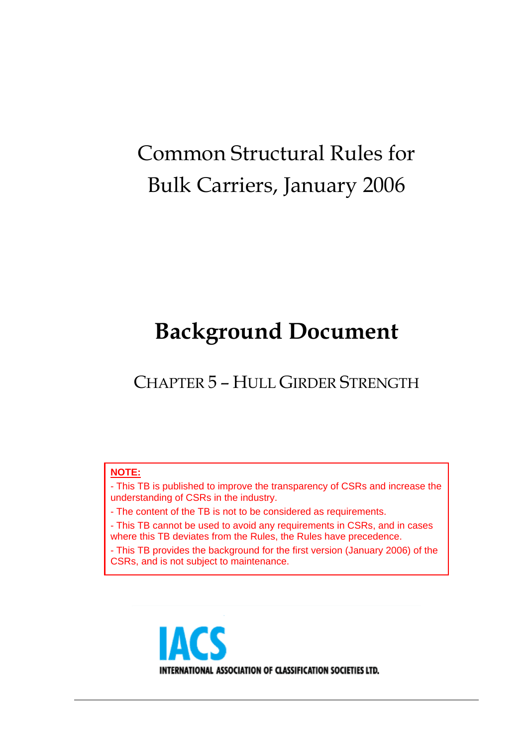# Common Structural Rules for Bulk Carriers, January 2006

# **Background Document**

CHAPTER 5 – HULL GIRDER STRENGTH

#### **NOTE:**

- This TB is published to improve the transparency of CSRs and increase the understanding of CSRs in the industry.

- The content of the TB is not to be considered as requirements.

- This TB cannot be used to avoid any requirements in CSRs, and in cases where this TB deviates from the Rules, the Rules have precedence.

- This TB provides the background for the first version (January 2006) of the CSRs, and is not subject to maintenance.

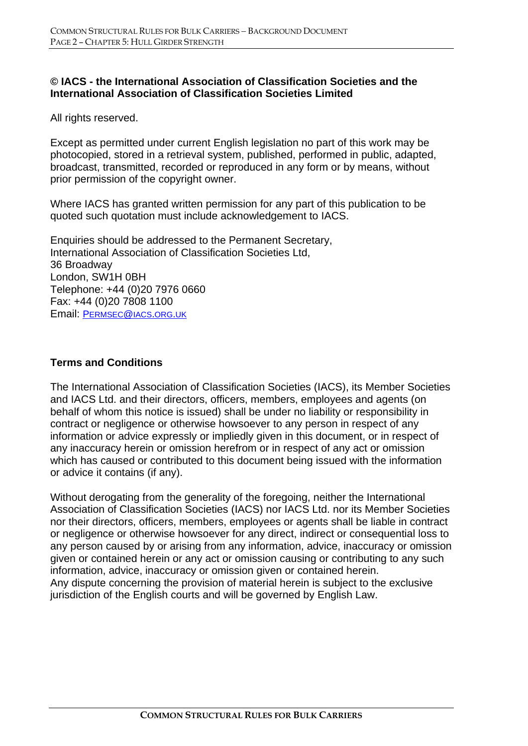#### **© IACS - the International Association of Classification Societies and the International Association of Classification Societies Limited**

All rights reserved.

Except as permitted under current English legislation no part of this work may be photocopied, stored in a retrieval system, published, performed in public, adapted, broadcast, transmitted, recorded or reproduced in any form or by means, without prior permission of the copyright owner.

Where IACS has granted written permission for any part of this publication to be quoted such quotation must include acknowledgement to IACS.

Enquiries should be addressed to the Permanent Secretary, International Association of Classification Societies Ltd, 36 Broadway London, SW1H 0BH Telephone: +44 (0)20 7976 0660 Fax: +44 (0)20 7808 1100 Email: PERMSEC@IACS.ORG.UK

#### **Terms and Conditions**

The International Association of Classification Societies (IACS), its Member Societies and IACS Ltd. and their directors, officers, members, employees and agents (on behalf of whom this notice is issued) shall be under no liability or responsibility in contract or negligence or otherwise howsoever to any person in respect of any information or advice expressly or impliedly given in this document, or in respect of any inaccuracy herein or omission herefrom or in respect of any act or omission which has caused or contributed to this document being issued with the information or advice it contains (if any).

Without derogating from the generality of the foregoing, neither the International Association of Classification Societies (IACS) nor IACS Ltd. nor its Member Societies nor their directors, officers, members, employees or agents shall be liable in contract or negligence or otherwise howsoever for any direct, indirect or consequential loss to any person caused by or arising from any information, advice, inaccuracy or omission given or contained herein or any act or omission causing or contributing to any such information, advice, inaccuracy or omission given or contained herein. Any dispute concerning the provision of material herein is subject to the exclusive jurisdiction of the English courts and will be governed by English Law.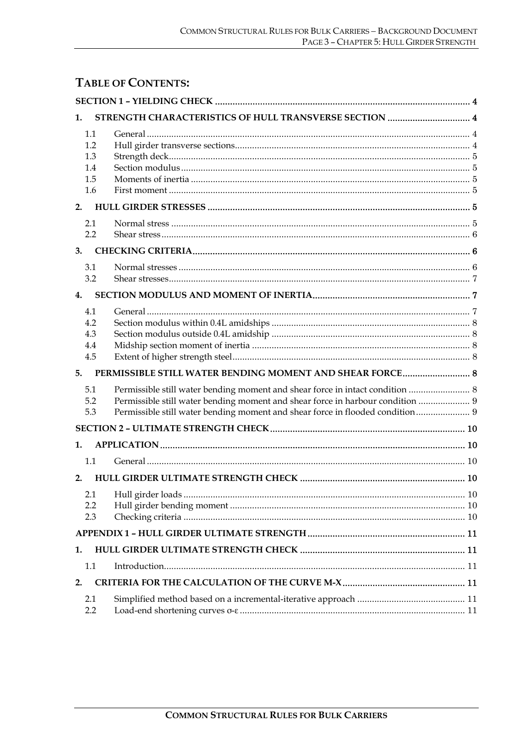# **TABLE OF CONTENTS:**

| 1.  | STRENGTH CHARACTERISTICS OF HULL TRANSVERSE SECTION  4                         |  |
|-----|--------------------------------------------------------------------------------|--|
| 1.1 |                                                                                |  |
| 1.2 |                                                                                |  |
| 1.3 |                                                                                |  |
| 1.4 |                                                                                |  |
| 1.5 |                                                                                |  |
| 1.6 |                                                                                |  |
| 2.  |                                                                                |  |
| 2.1 |                                                                                |  |
| 2.2 |                                                                                |  |
| 3.  |                                                                                |  |
| 3.1 |                                                                                |  |
| 3.2 |                                                                                |  |
| 4.  |                                                                                |  |
| 4.1 |                                                                                |  |
| 4.2 |                                                                                |  |
| 4.3 |                                                                                |  |
| 4.4 |                                                                                |  |
| 4.5 |                                                                                |  |
| 5.  | PERMISSIBLE STILL WATER BENDING MOMENT AND SHEAR FORCE 8                       |  |
| 5.1 | Permissible still water bending moment and shear force in intact condition  8  |  |
| 5.2 | Permissible still water bending moment and shear force in harbour condition  9 |  |
| 5.3 | Permissible still water bending moment and shear force in flooded condition 9  |  |
|     |                                                                                |  |
| 1.  |                                                                                |  |
| 1.1 |                                                                                |  |
| 2.  |                                                                                |  |
| 2.1 |                                                                                |  |
| 2.2 |                                                                                |  |
| 2.3 |                                                                                |  |
|     |                                                                                |  |
| 1.  |                                                                                |  |
| 1.1 |                                                                                |  |
| 2.  |                                                                                |  |
| 2.1 |                                                                                |  |
| 2.2 |                                                                                |  |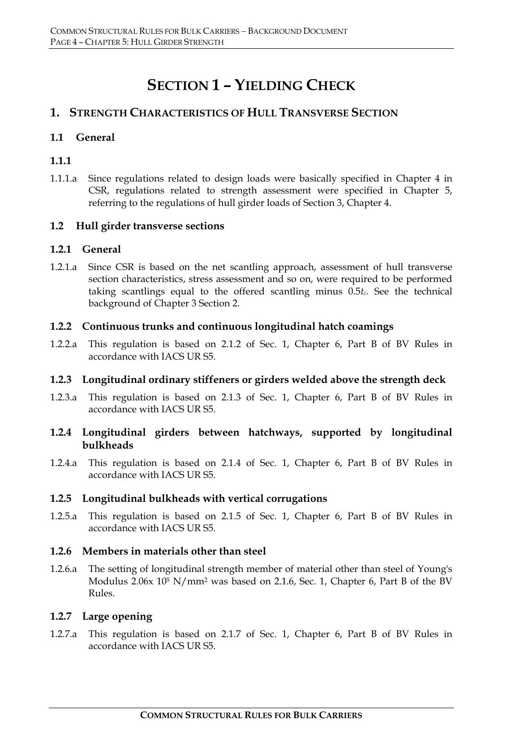# **SECTION 1 – YIELDING CHECK**

# **1. STRENGTH CHARACTERISTICS OF HULL TRANSVERSE SECTION**

#### **1.1 General**

### **1.1.1**

1.1.1.a Since regulations related to design loads were basically specified in Chapter 4 in CSR, regulations related to strength assessment were specified in Chapter 5, referring to the regulations of hull girder loads of Section 3, Chapter 4.

#### **1.2 Hull girder transverse sections**

#### **1.2.1 General**

1.2.1.a Since CSR is based on the net scantling approach, assessment of hull transverse section characteristics, stress assessment and so on, were required to be performed taking scantlings equal to the offered scantling minus 0.5*tc*. See the technical background of Chapter 3 Section 2.

#### **1.2.2 Continuous trunks and continuous longitudinal hatch coamings**

1.2.2.a This regulation is based on 2.1.2 of Sec. 1, Chapter 6, Part B of BV Rules in accordance with IACS UR S5.

# **1.2.3 Longitudinal ordinary stiffeners or girders welded above the strength deck**

1.2.3.a This regulation is based on 2.1.3 of Sec. 1, Chapter 6, Part B of BV Rules in accordance with IACS UR S5.

#### **1.2.4 Longitudinal girders between hatchways, supported by longitudinal bulkheads**

1.2.4.a This regulation is based on 2.1.4 of Sec. 1, Chapter 6, Part B of BV Rules in accordance with IACS UR S5.

#### **1.2.5 Longitudinal bulkheads with vertical corrugations**

1.2.5.a This regulation is based on 2.1.5 of Sec. 1, Chapter 6, Part B of BV Rules in accordance with IACS UR S5.

#### **1.2.6 Members in materials other than steel**

1.2.6.a The setting of longitudinal strength member of material other than steel of Young's Modulus 2.06x 105 N/mm2 was based on 2.1.6, Sec. 1, Chapter 6, Part B of the BV Rules.

#### **1.2.7 Large opening**

1.2.7.a This regulation is based on 2.1.7 of Sec. 1, Chapter 6, Part B of BV Rules in accordance with IACS UR S5.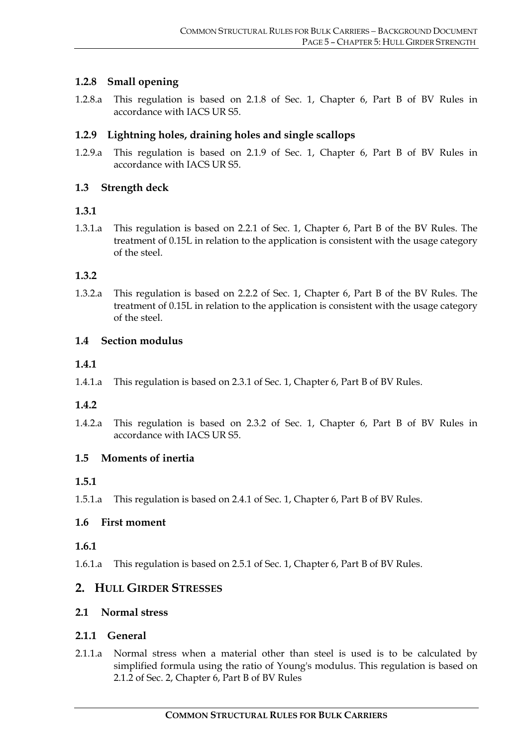#### **1.2.8 Small opening**

1.2.8.a This regulation is based on 2.1.8 of Sec. 1, Chapter 6, Part B of BV Rules in accordance with IACS UR S5.

#### **1.2.9 Lightning holes, draining holes and single scallops**

1.2.9.a This regulation is based on 2.1.9 of Sec. 1, Chapter 6, Part B of BV Rules in accordance with IACS UR S5.

#### **1.3 Strength deck**

#### **1.3.1**

1.3.1.a This regulation is based on 2.2.1 of Sec. 1, Chapter 6, Part B of the BV Rules. The treatment of 0.15L in relation to the application is consistent with the usage category of the steel.

#### **1.3.2**

1.3.2.a This regulation is based on 2.2.2 of Sec. 1, Chapter 6, Part B of the BV Rules. The treatment of 0.15L in relation to the application is consistent with the usage category of the steel.

#### **1.4 Section modulus**

#### **1.4.1**

1.4.1.a This regulation is based on 2.3.1 of Sec. 1, Chapter 6, Part B of BV Rules.

#### **1.4.2**

1.4.2.a This regulation is based on 2.3.2 of Sec. 1, Chapter 6, Part B of BV Rules in accordance with IACS UR S5.

#### **1.5 Moments of inertia**

#### **1.5.1**

1.5.1.a This regulation is based on 2.4.1 of Sec. 1, Chapter 6, Part B of BV Rules.

#### **1.6 First moment**

#### **1.6.1**

1.6.1.a This regulation is based on 2.5.1 of Sec. 1, Chapter 6, Part B of BV Rules.

#### **2. HULL GIRDER STRESSES**

#### **2.1 Normal stress**

#### **2.1.1 General**

2.1.1.a Normal stress when a material other than steel is used is to be calculated by simplified formula using the ratio of Young's modulus. This regulation is based on 2.1.2 of Sec. 2, Chapter 6, Part B of BV Rules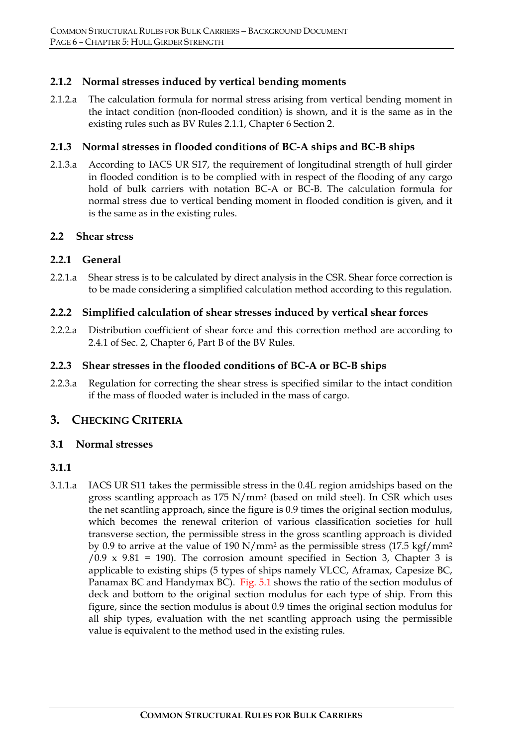#### **2.1.2 Normal stresses induced by vertical bending moments**

2.1.2.a The calculation formula for normal stress arising from vertical bending moment in the intact condition (non-flooded condition) is shown, and it is the same as in the existing rules such as BV Rules 2.1.1, Chapter 6 Section 2.

#### **2.1.3 Normal stresses in flooded conditions of BC-A ships and BC-B ships**

2.1.3.a According to IACS UR S17, the requirement of longitudinal strength of hull girder in flooded condition is to be complied with in respect of the flooding of any cargo hold of bulk carriers with notation BC-A or BC-B. The calculation formula for normal stress due to vertical bending moment in flooded condition is given, and it is the same as in the existing rules.

#### **2.2 Shear stress**

#### **2.2.1 General**

2.2.1.a Shear stress is to be calculated by direct analysis in the CSR. Shear force correction is to be made considering a simplified calculation method according to this regulation.

#### **2.2.2 Simplified calculation of shear stresses induced by vertical shear forces**

2.2.2.a Distribution coefficient of shear force and this correction method are according to 2.4.1 of Sec. 2, Chapter 6, Part B of the BV Rules.

#### **2.2.3 Shear stresses in the flooded conditions of BC-A or BC-B ships**

2.2.3.a Regulation for correcting the shear stress is specified similar to the intact condition if the mass of flooded water is included in the mass of cargo.

# **3. CHECKING CRITERIA**

#### **3.1 Normal stresses**

#### **3.1.1**

3.1.1.a IACS UR S11 takes the permissible stress in the 0.4L region amidships based on the gross scantling approach as 175 N/mm2 (based on mild steel). In CSR which uses the net scantling approach, since the figure is 0.9 times the original section modulus, which becomes the renewal criterion of various classification societies for hull transverse section, the permissible stress in the gross scantling approach is divided by 0.9 to arrive at the value of 190 N/mm2 as the permissible stress (17.5 kgf/mm2  $/0.9 \times 9.81 = 190$ ). The corrosion amount specified in Section 3, Chapter 3 is applicable to existing ships (5 types of ships namely VLCC, Aframax, Capesize BC, Panamax BC and Handymax BC). Fig. 5.1 shows the ratio of the section modulus of deck and bottom to the original section modulus for each type of ship. From this figure, since the section modulus is about 0.9 times the original section modulus for all ship types, evaluation with the net scantling approach using the permissible value is equivalent to the method used in the existing rules.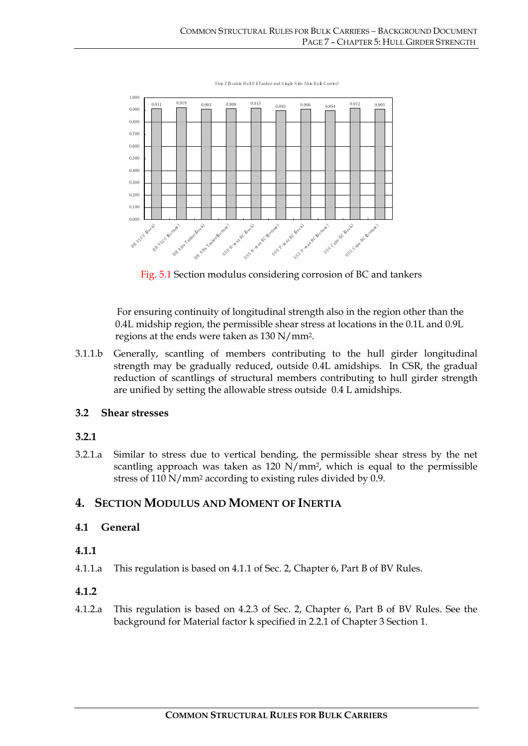

Fig. 5.1 Section modulus considering corrosion of BC and tankers

For ensuring continuity of longitudinal strength also in the region other than the 0.4L midship region, the permissible shear stress at locations in the 0.1L and 0.9L regions at the ends were taken as 130 N/mm2.

3.1.1.b Generally, scantling of members contributing to the hull girder longitudinal strength may be gradually reduced, outside 0.4L amidships. In CSR, the gradual reduction of scantlings of structural members contributing to hull girder strength are unified by setting the allowable stress outside 0.4 L amidships.

#### **3.2 Shear stresses**

# **3.2.1**

3.2.1.a Similar to stress due to vertical bending, the permissible shear stress by the net scantling approach was taken as 120 N/mm2, which is equal to the permissible stress of 110 N/mm2 according to existing rules divided by 0.9.

# **4. SECTION MODULUS AND MOMENT OF INERTIA**

# **4.1 General**

#### **4.1.1**

4.1.1.a This regulation is based on 4.1.1 of Sec. 2, Chapter 6, Part B of BV Rules.

# **4.1.2**

4.1.2.a This regulation is based on 4.2.3 of Sec. 2, Chapter 6, Part B of BV Rules. See the background for Material factor k specified in 2.2.1 of Chapter 3 Section 1.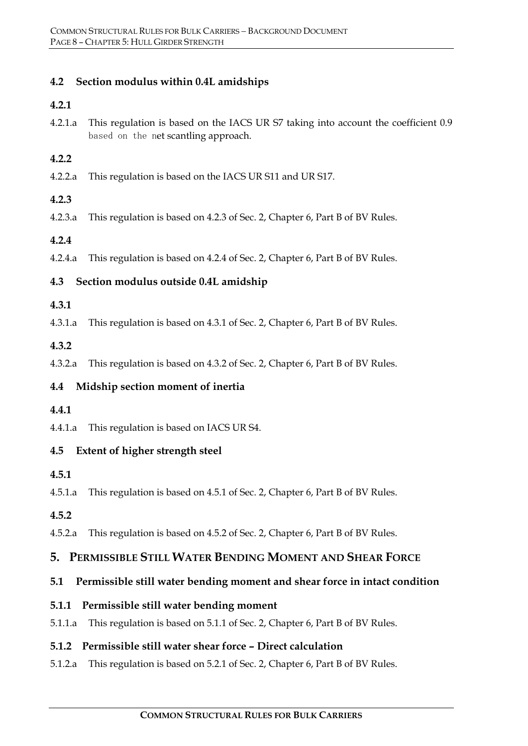#### **4.2 Section modulus within 0.4L amidships**

#### **4.2.1**

4.2.1.a This regulation is based on the IACS UR S7 taking into account the coefficient 0.9 based on the net scantling approach.

#### **4.2.2**

4.2.2.a This regulation is based on the IACS UR S11 and UR S17.

#### **4.2.3**

4.2.3.a This regulation is based on 4.2.3 of Sec. 2, Chapter 6, Part B of BV Rules.

#### **4.2.4**

4.2.4.a This regulation is based on 4.2.4 of Sec. 2, Chapter 6, Part B of BV Rules.

#### **4.3 Section modulus outside 0.4L amidship**

#### **4.3.1**

4.3.1.a This regulation is based on 4.3.1 of Sec. 2, Chapter 6, Part B of BV Rules.

#### **4.3.2**

4.3.2.a This regulation is based on 4.3.2 of Sec. 2, Chapter 6, Part B of BV Rules.

# **4.4 Midship section moment of inertia**

#### **4.4.1**

4.4.1.a This regulation is based on IACS UR S4.

#### **4.5 Extent of higher strength steel**

- **4.5.1**
- 4.5.1.a This regulation is based on 4.5.1 of Sec. 2, Chapter 6, Part B of BV Rules.

#### **4.5.2**

4.5.2.a This regulation is based on 4.5.2 of Sec. 2, Chapter 6, Part B of BV Rules.

#### **5. PERMISSIBLE STILL WATER BENDING MOMENT AND SHEAR FORCE**

#### **5.1 Permissible still water bending moment and shear force in intact condition**

#### **5.1.1 Permissible still water bending moment**

5.1.1.a This regulation is based on 5.1.1 of Sec. 2, Chapter 6, Part B of BV Rules.

#### **5.1.2 Permissible still water shear force – Direct calculation**

5.1.2.a This regulation is based on 5.2.1 of Sec. 2, Chapter 6, Part B of BV Rules.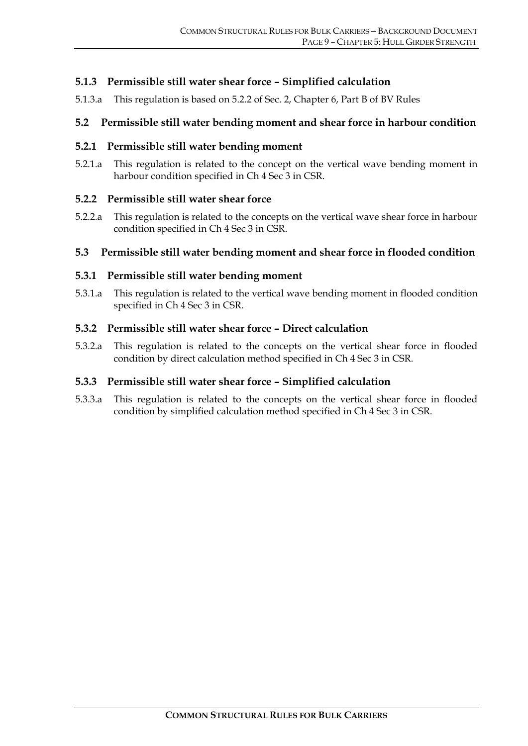#### **5.1.3 Permissible still water shear force – Simplified calculation**

5.1.3.a This regulation is based on 5.2.2 of Sec. 2, Chapter 6, Part B of BV Rules

#### **5.2 Permissible still water bending moment and shear force in harbour condition**

#### **5.2.1 Permissible still water bending moment**

5.2.1.a This regulation is related to the concept on the vertical wave bending moment in harbour condition specified in Ch 4 Sec 3 in CSR.

#### **5.2.2 Permissible still water shear force**

5.2.2.a This regulation is related to the concepts on the vertical wave shear force in harbour condition specified in Ch 4 Sec 3 in CSR.

#### **5.3 Permissible still water bending moment and shear force in flooded condition**

#### **5.3.1 Permissible still water bending moment**

5.3.1.a This regulation is related to the vertical wave bending moment in flooded condition specified in Ch 4 Sec 3 in CSR.

#### **5.3.2 Permissible still water shear force – Direct calculation**

5.3.2.a This regulation is related to the concepts on the vertical shear force in flooded condition by direct calculation method specified in Ch 4 Sec 3 in CSR.

#### **5.3.3 Permissible still water shear force – Simplified calculation**

5.3.3.a This regulation is related to the concepts on the vertical shear force in flooded condition by simplified calculation method specified in Ch 4 Sec 3 in CSR.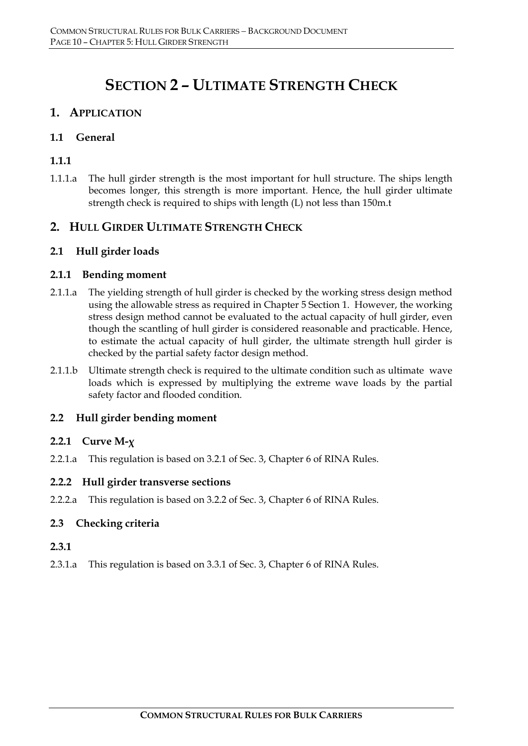# **SECTION 2 – ULTIMATE STRENGTH CHECK**

# **1. APPLICATION**

#### **1.1 General**

# **1.1.1**

1.1.1.a The hull girder strength is the most important for hull structure. The ships length becomes longer, this strength is more important. Hence, the hull girder ultimate strength check is required to ships with length (L) not less than 150m.t

# **2. HULL GIRDER ULTIMATE STRENGTH CHECK**

#### **2.1 Hull girder loads**

#### **2.1.1 Bending moment**

- 2.1.1.a The yielding strength of hull girder is checked by the working stress design method using the allowable stress as required in Chapter 5 Section 1. However, the working stress design method cannot be evaluated to the actual capacity of hull girder, even though the scantling of hull girder is considered reasonable and practicable. Hence, to estimate the actual capacity of hull girder, the ultimate strength hull girder is checked by the partial safety factor design method.
- 2.1.1.b Ultimate strength check is required to the ultimate condition such as ultimate wave loads which is expressed by multiplying the extreme wave loads by the partial safety factor and flooded condition.

#### **2.2 Hull girder bending moment**

#### **2.2.1 Curve M-χ**

2.2.1.a This regulation is based on 3.2.1 of Sec. 3, Chapter 6 of RINA Rules.

#### **2.2.2 Hull girder transverse sections**

2.2.2.a This regulation is based on 3.2.2 of Sec. 3, Chapter 6 of RINA Rules.

#### **2.3 Checking criteria**

#### **2.3.1**

2.3.1.a This regulation is based on 3.3.1 of Sec. 3, Chapter 6 of RINA Rules.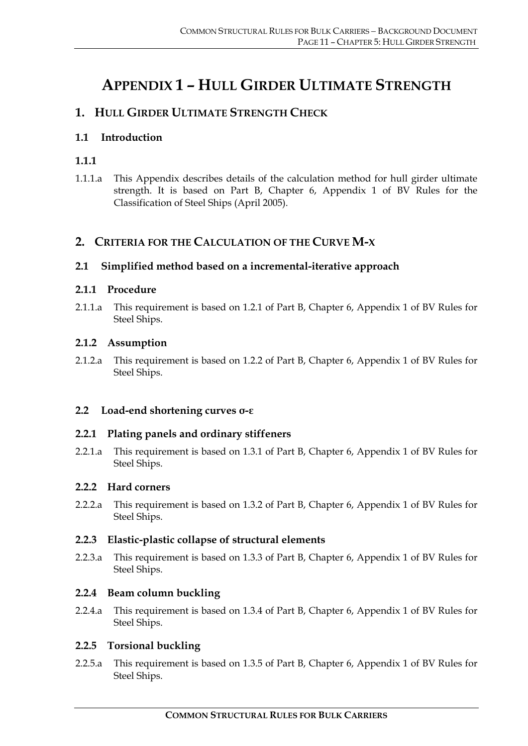# **APPENDIX 1 – HULL GIRDER ULTIMATE STRENGTH**

# **1. HULL GIRDER ULTIMATE STRENGTH CHECK**

# **1.1 Introduction**

# **1.1.1**

1.1.1.a This Appendix describes details of the calculation method for hull girder ultimate strength. It is based on Part B, Chapter 6, Appendix 1 of BV Rules for the Classification of Steel Ships (April 2005).

# **2. CRITERIA FOR THE CALCULATION OF THE CURVE M-Χ**

#### **2.1 Simplified method based on a incremental-iterative approach**

#### **2.1.1 Procedure**

2.1.1.a This requirement is based on 1.2.1 of Part B, Chapter 6, Appendix 1 of BV Rules for Steel Ships.

#### **2.1.2 Assumption**

2.1.2.a This requirement is based on 1.2.2 of Part B, Chapter 6, Appendix 1 of BV Rules for Steel Ships.

# **2.2 Load-end shortening curves σ-ε**

#### **2.2.1 Plating panels and ordinary stiffeners**

2.2.1.a This requirement is based on 1.3.1 of Part B, Chapter 6, Appendix 1 of BV Rules for Steel Ships.

#### **2.2.2 Hard corners**

2.2.2.a This requirement is based on 1.3.2 of Part B, Chapter 6, Appendix 1 of BV Rules for Steel Ships.

#### **2.2.3 Elastic-plastic collapse of structural elements**

2.2.3.a This requirement is based on 1.3.3 of Part B, Chapter 6, Appendix 1 of BV Rules for Steel Ships.

#### **2.2.4 Beam column buckling**

2.2.4.a This requirement is based on 1.3.4 of Part B, Chapter 6, Appendix 1 of BV Rules for Steel Ships.

# **2.2.5 Torsional buckling**

2.2.5.a This requirement is based on 1.3.5 of Part B, Chapter 6, Appendix 1 of BV Rules for Steel Ships.